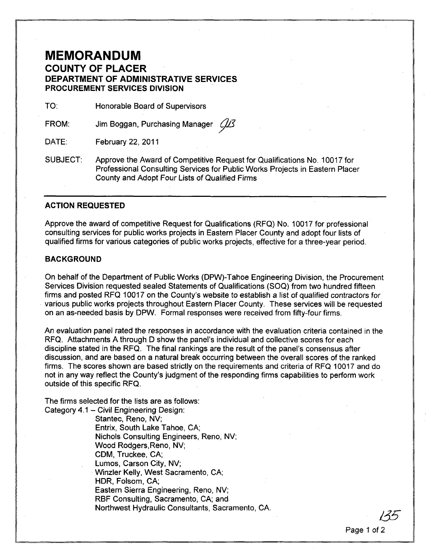# **MEMORANDUM COUNTY OF PLACER DEPARTMENT OF ADMINISTRATIVE SERVICES PROCUREMENT SERVICES DIVISION**

TO: Honorable Board of Supervisors

FROM: Jim Boggan, Purchasing Manager  $\mathcal{A}\mathcal{B}$ 

DATE: February 22, 2011

SUBJECT: Approve the Award of Competitive Request for Qualifications No.1 0017 for Professional Consulting Services for Public Works Projects in Eastern Placer County and Adopt Four Lists of Qualified Firms

### **ACTION .REQUESTED**

Approve the award of competitive Request for Qualifications (RFQ) No. 10017 for professional consulting services for public works projects in Eastern Placer County and adopt four lists of qualified firms for various categories of public works projects, effective for a three-year period.

### **BACKGROUND**

On behalf of the Department of Public Works (DPW)-Tahoe Engineering Division, the Procurement Services Division requested sealed Statements of Qualifications (SOQ) from two hundred fifteen firms and posted RFQ 10017 on the County's website to establish a list of qualified contractors for various public works projects throughout Eastern Placer County. These services will be requested on an as-needed basis by DPW. Formal responses were received from fifty-four firms.

An evaluation panel rated the responses in accordance with the evaluation criteria contained in the RFQ. Attachments A through D show the panel's individual and collective scores for each discipline stated in the RFQ. The final rankings are the result of the panel's consensus after discussion, and are based on a natural break occurring between the overall scores of the ranked firms. The scores shown are based strictly on the requirements and criteria of RFQ 10017 and do not in any way reflect the County's judgment of the responding firms capabilities to perform work outside of this specific RFQ.

The firms selected for the lists are as follows: Category 4.1 - Civil Engineering Design:

> Stantec, Reno, NV; Entrix, South Lake Tahoe, CA; Nichols Consulting Engineers, Reno, NV; Wood Rodgers, Reno, NV; CDM, Truckee, CA; Lumos, Carson City, NV; Winzler Kelly, West Sacramento, CA; HDR, Folsom, CA; Eastern Sierra Engineering, Reno, NV; RBF Consulting, Sacramento, CA; and Northwest Hydraulic Consultants, Sacramento, CA.

> > Page 1 of 2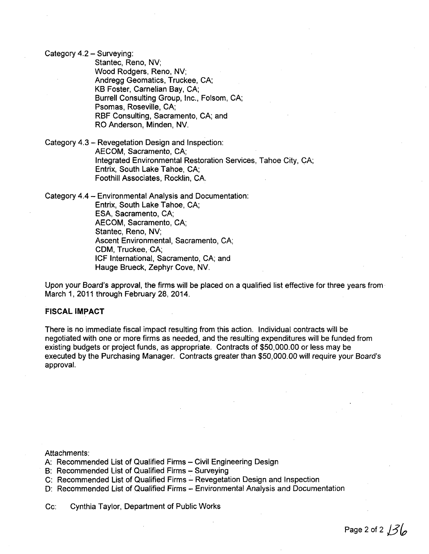Category 4.2 - Surveying:

Stantec, Reno, NV; Wood Rodgers, Reno, NV; Andregg Geomatics, Truckee, CA; KB Foster, Carnelian Bay, CA; Burrell Consulting Group, Inc., Folsom, CA; Psomas, Roseville, CA; RBF Consulting, Sacramento, CA; and RO Anderson, Minden, NV.

Category 4.3 - Revegetation Design and Inspection: AECOM, Sacramento, CA; Integrated Environmental Restoration Services, Tahoe City, CA; Entrix, South Lake Tahoe, CA; Foothill Associates, Rocklin, CA.

Category 4.4 - Environmental Analysis and Documentation: Entrix, South Lake Tahoe, CA; ESA, Sacramento, CA; AECOM, Sacramento, CA; Stantec, Reno, NV; Ascent Environmental, Sacramento, CA; CDM, Truckee, CA; ICF International, Sacramento, CA; and Hauge Brueck, Zephyr Cove, NV.

Upon your Board's approval, the firms will be placed on a qualified list effective for three years from March 1, 2011 through February 28, 2014.

#### **FISCAL IMPACT**

There is no immediate fiscal impact resulting from this action. Individual contracts will be negotiated with one or more firms as needed, and the resulting expenditures will be funded from existing budgets or project funds, as appropriate. Contracts of \$50,000.00 or less may be executed by the Purchasing Manager. Contracts greater than \$50,000.00 will require your Board's approval.

Attachments:

- A: Recommended List of Qualified Firms Civil Engineering Design
- B: Recommended List of Qualified Firms Surveying
- C: Recommended List of Qualified Firms Revegetation Design and Inspection
- D: Recommended List of Qualified Firms Environmental Analysis and Documentation

Cc: Cynthia Taylor, Department of Public Works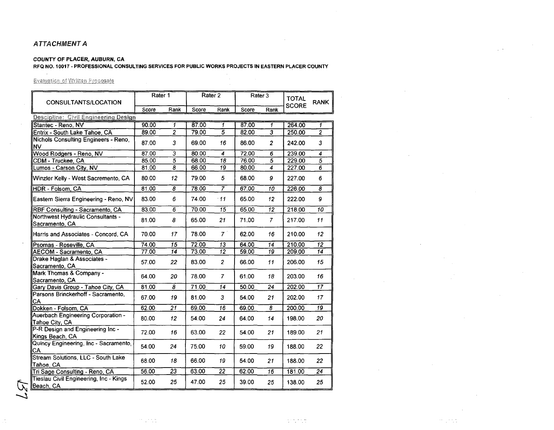### ATTACHMENT A

### COUNTY OF PLACER, AUBURN, CA

### RFQ NO. 10017 - PROFESSIONAL CONSULTING SERVICES FOR PUBLIC WORKS PROJECTS IN EASTERN PLACER COUNTY

 $\sim$   $\sim$ 

### **Evaluation of Written Proposals**

| CONSULTANTS/LOCATION                                 | Rater 1 |                 | Rater <sub>2</sub> |                 | Rater 3 |                         | <b>TOTAL</b><br><b>SCORE</b> | <b>RANK</b>     |
|------------------------------------------------------|---------|-----------------|--------------------|-----------------|---------|-------------------------|------------------------------|-----------------|
|                                                      | Score   | Rank            | Score              | Rank            | Score   | Rank                    |                              |                 |
| Descipline: Civil Engineering Design                 |         |                 |                    |                 |         |                         |                              |                 |
| Stantec - Reno, NV                                   | 90.00   | 1               | 87.00              | 1               | 87.00   | 1                       | 264.00                       | 1               |
| Entrix - South Lake Tahoe, CA                        | 89.00   | $\overline{2}$  | 79.00              | 5               | 82.00   | $\overline{\mathbf{3}}$ | 250.00                       | $\overline{2}$  |
| Nichols Consulting Engineers - Reno,<br><b>NV</b>    | 87.00   | 3               | 69.00              | 16              | 86.00   | $\overline{2}$          | 242.00                       | 3               |
| Wood Rodgers - Reno, NV                              | 87.00   | 3               | 80.00              | 4               | 72.00   | 6                       | 239.00                       | 4               |
| CDM - Truckee, CA                                    | 85.00   | $\overline{5}$  | 68.00              | $\overline{18}$ | 76.00   | $\overline{5}$          | 229.00                       | $\overline{5}$  |
| Lumos - Carson City, NV                              | 81.00   | 8               | 66.00              | 19              | 80.00   | $\overline{4}$          | 227.00                       | 6               |
| Winzler Kelly - West Sacremento, CA                  | 80.00   | 12 <sub>2</sub> | 79.00              | 5               | 68.00   | 9                       | 227.00                       | 6               |
| HDR - Folsom, CA                                     | 81.00   | 8               | 78.00              | $\overline{7}$  | 67.00   | $\overline{10}$         | 226.00                       | $\overline{s}$  |
| Eastern Sierra Engineering - Reno, NV                | 83.00   | 6               | 74.00              | .11             | 65.00   | 12                      | 222.00                       | 9               |
| RBF Consulting - Sacramento, CA                      | 83.00   | 6               | 70.00              | 15              | 65.00   | $\overline{12}$         | 218.00                       | 10              |
| Northwest Hydraulic Consultants -<br>Sacramento, CA  | 81.00   | 8               | 65.00              | 21              | 71.00   | $\overline{7}$          | 217.00                       | 11              |
| Harris and Associates - Concord, CA                  | 70.00   | 17              | 78.00              | $7^{\circ}$     | 62.00   | 16                      | 210.00                       | 12              |
| Psomas - Roseville, CA                               | 74.00   | 15              | 72.00              | $\overline{13}$ | 64.00   | 14                      | 210.00                       | 12              |
| AECOM - Sacramento, CA                               | 77.00   | 14              | 73.00              | $\overline{12}$ | 59.00   | 19                      | 209.00                       | 14              |
| Drake Haglan & Associates -<br>Sacramento, CA        | 57.00   | 22              | 83.00              | $\overline{c}$  | 66.00   | 11                      | 206.00                       | 15              |
| Mark Thomas & Company -<br>Sacramento, CA            | 64.00   | 20              | 78.00              | $\overline{7}$  | 61.00   | 18                      | 203.00                       | 16              |
| Gary Davis Group - Tahoe City, CA                    | 81.00   | $\overline{s}$  | 71.00              | $\overline{14}$ | 50.00   | $\overline{24}$         | 202.00                       | $\overline{17}$ |
| Parsons Brinckerhoff - Sacramento,<br>CA             | 67.00   | 19              | 81.00              | 3               | 54.00   | 21                      | 202.00                       | 17              |
| Dokken - Folsom, CA                                  | 62.00   | 21              | 69.00              | 16              | 69.00   | 8                       | 200.00                       | 19              |
| Auerbach Engineering Corporation -<br>Tahoe City, CA | 80.00   | 12              | 54.00              | 24              | 64.00   | 14                      | 198.00                       | 20              |
| P-R Design and Engineering Inc -<br>Kings Beach, CA  | 72.00   | 16              | 63.00              | 22              | 54.00   | 21                      | 189.00                       | 21              |
| Quincy Engineering, Inc - Sacramento,<br>CA          | 54.00   | 24              | 75.00              | 10              | 59.00   | 19                      | 188.00                       | 22              |
| Stream Solutions, LLC - South Lake<br>Tahoe, CA      | 68.00   | 18              | 66.00              | 19              | 54.00   | 21                      | 188.00                       | 22              |
| Tri Sage Consulting - Reno, CA                       | 56.00   | 23              | 63.00              | 22              | 62.00   | $\overline{16}$         | 181.00                       | $\overline{24}$ |
| Tieslau Civil Engineering, Inc - Kings<br>Beach, CA  | 52.00   | 25              | 47.00              | 25              | 39.00   | 25                      | 138.00                       | 25              |

 $\mathcal{O}(\sqrt{2})$  ,  $\mathcal{O}(\sqrt{2})$ 

 $\mathcal{F}^{\mu\nu}$  ,  $\mathcal{F}^{\mu\nu}$  ,  $\mathcal{F}^{\mu\nu}$ 

 $\sim$ 

 $\sim$ 

 $\sim$   $\sim$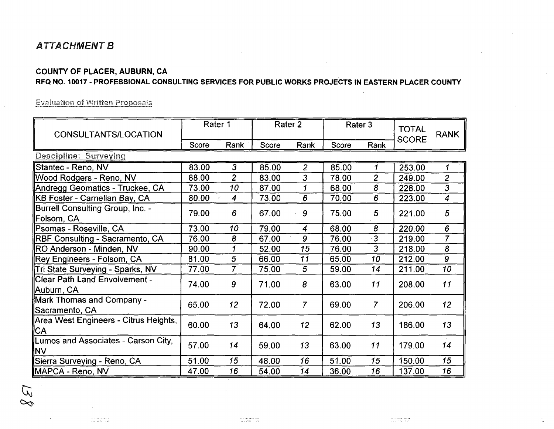# ATTACHMENT B

# COUNTY OF PLACER, AUBURN, CA

## RFQ NO. 10017 - PROFESSIONAL CONSULTING SERVICES FOR PUBLIC WORKS PROJECTS IN EASTERN PLACER COUNTY

**Evaluation of Written Proposals** 

| CONSULTANTS/LOCATION                              | Rater 1 |                  | Rater <sub>2</sub> |                  | Rater 3 |                | <b>TOTAL</b><br><b>SCORE</b> | <b>RANK</b>     |
|---------------------------------------------------|---------|------------------|--------------------|------------------|---------|----------------|------------------------------|-----------------|
|                                                   | Score   | Rank             | Score              | Rank             | Score   | Rank           |                              |                 |
| Descipline: Surveying                             |         |                  |                    |                  |         |                |                              |                 |
| Stantec - Reno, NV                                | 83.00   | 3                | 85.00              | $\overline{2}$   | 85.00   | 1              | 253.00                       | 1               |
| Wood Rodgers - Reno, NV                           | 88.00   | $\overline{2}$   | 83.00              | 3                | 78.00   | $\overline{2}$ | 249.00                       | $\overline{2}$  |
| Andregg Geomatics - Truckee, CA                   | 73.00   | 10               | 87.00              | 1                | 68.00   | $\overline{8}$ | 228.00                       | $\overline{3}$  |
| ∥KB Foster - Carnelian Bay, CA                    | 80.00   | $\boldsymbol{4}$ | 73.00              | 6                | 70.00   | 6              | 223.00                       | $\overline{4}$  |
| Burrell Consulting Group, Inc. -<br>∥Folsom, CA   | 79.00   | 6                | 67.00              | 9                | 75.00   | 5              | 221.00                       | 5               |
| Psomas - Roseville, CA                            | 73.00   | 10               | 79.00              | $\boldsymbol{4}$ | 68.00   | 8              | 220.00                       | 6               |
| <b>RBF Consulting - Sacramento, CA</b>            | 76.00   | 8                | 67.00              | 9                | 76.00   | $\overline{3}$ | 219.00                       | $\overline{7}$  |
| RO Anderson - Minden, NV                          | 90.00   | $\mathbf{1}$     | 52.00              | 15               | 76.00   | $\overline{3}$ | 218.00                       | $\overline{8}$  |
| Rey Engineers - Folsom, CA                        | 81.00   | 5                | 66.00              | 11               | 65.00   | 10             | 212.00                       | $\overline{9}$  |
| Tri State Surveying - Sparks, NV                  | 77.00   | $\overline{7}$   | 75.00              | $5\phantom{.0}$  | 59.00   | 14             | 211.00                       | 10              |
| Clear Path Land Envolvement -<br>Auburn, CA       | 74.00   | 9                | 71.00              | 8                | 63.00   | 11             | 208.00                       | 11              |
| Mark Thomas and Company -<br>Sacramento, CA       | 65.00   | 12 <sub>2</sub>  | 72.00              | $\overline{7}$   | 69.00   | $\overline{7}$ | 206.00                       | 12 <sup>°</sup> |
| Area West Engineers - Citrus Heights,<br> CA      | 60.00   | 13               | 64.00              | 12               | 62.00   | 13             | 186.00                       | 13              |
| Lumos and Associates - Carson City,<br><b>INV</b> | 57.00   | 14               | 59.00              | 13               | 63.00   | 11             | 179.00                       | 14              |
| Sierra Surveying - Reno, CA                       | 51.00   | 15               | 48.00              | 16               | 51.00   | 15             | 150.00                       | 15              |
| MAPCA - Reno, NV                                  | 47.00   | 16               | 54.00              | 14               | 36.00   | 16             | 137.00                       | 16              |

 $\overline{\mathcal{N}}$  $\infty$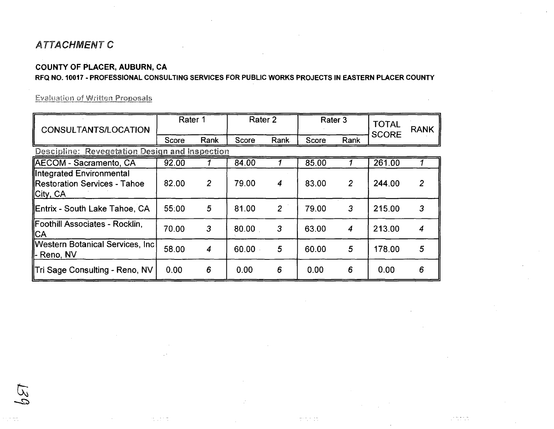# **ATTACHMENT C**

## COUNTY OF PLACER, AUBURN, CA

## RFQ NO. 10017 - PROFESSIONAL CONSULTING SERVICES FOR PUBLIC WORKS PROJECTS IN EASTERN PLACER COUNTY

**Evaluation of Written Proposals** 

| CONSULTANTS/LOCATION                                                  | Rater 1 |                | Rater 2 |                | Rater 3 |                | <b>TOTAL</b><br><b>SCORE</b> | <b>RANK</b>      |  |
|-----------------------------------------------------------------------|---------|----------------|---------|----------------|---------|----------------|------------------------------|------------------|--|
|                                                                       | Score   | Rank           | Score   | Rank           | Score   | Rank           |                              |                  |  |
| Descipline: Revegetation Design and Inspection                        |         |                |         |                |         |                |                              |                  |  |
| <b>AECOM - Sacramento, CA</b>                                         | 92.00   |                | 84.00   |                | 85.00   |                | 261.00                       |                  |  |
| lintegrated Environmental<br>Restoration Services - Tahoe<br>City, CA | 82.00   | $\overline{2}$ | 79.00   | 4              | 83.00   | $\overline{2}$ | 244.00                       | $\mathbf{2}$     |  |
| ∥Entrix - South Lake Tahoe, CA                                        | 55:00   | 5              | 81.00   | $\overline{2}$ | 79.00   | 3              | 215.00                       | 3                |  |
| Foothill Associates - Rocklin,<br>∥CA                                 | 70.00   | 3              | 80.00   | 3              | 63.00   | 4              | 213.00                       | $\boldsymbol{4}$ |  |
| Western Botanical Services, Incl<br><b>ll-</b> Reno, NV               | 58.00   | 4              | 60.00   | 5              | 60.00   | 5              | 178.00                       | 5                |  |
| ∥Tri Sage Consulting - Reno, NV                                       | 0.00    | 6              | 0.00    | 6              | 0.00    | 6              | 0.00                         | 6                |  |

 $\mathcal{A}$  ,  $\mathcal{A} \subset \mathcal{A}$ 

 $\mathbb{C}^{1,0}$  ,  $\mathbb{C}^{1,0}$ 

 $\mathcal{L}^{\text{max}}$  and  $\mathcal{L}^{\text{max}}$